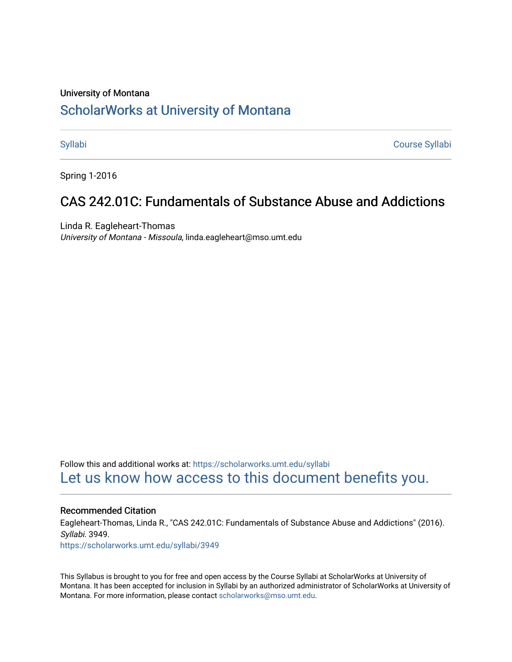#### University of Montana

## [ScholarWorks at University of Montana](https://scholarworks.umt.edu/)

[Syllabi](https://scholarworks.umt.edu/syllabi) [Course Syllabi](https://scholarworks.umt.edu/course_syllabi) 

Spring 1-2016

# CAS 242.01C: Fundamentals of Substance Abuse and Addictions

Linda R. Eagleheart-Thomas University of Montana - Missoula, linda.eagleheart@mso.umt.edu

Follow this and additional works at: [https://scholarworks.umt.edu/syllabi](https://scholarworks.umt.edu/syllabi?utm_source=scholarworks.umt.edu%2Fsyllabi%2F3949&utm_medium=PDF&utm_campaign=PDFCoverPages)  [Let us know how access to this document benefits you.](https://goo.gl/forms/s2rGfXOLzz71qgsB2) 

#### Recommended Citation

Eagleheart-Thomas, Linda R., "CAS 242.01C: Fundamentals of Substance Abuse and Addictions" (2016). Syllabi. 3949.

[https://scholarworks.umt.edu/syllabi/3949](https://scholarworks.umt.edu/syllabi/3949?utm_source=scholarworks.umt.edu%2Fsyllabi%2F3949&utm_medium=PDF&utm_campaign=PDFCoverPages)

This Syllabus is brought to you for free and open access by the Course Syllabi at ScholarWorks at University of Montana. It has been accepted for inclusion in Syllabi by an authorized administrator of ScholarWorks at University of Montana. For more information, please contact [scholarworks@mso.umt.edu.](mailto:scholarworks@mso.umt.edu)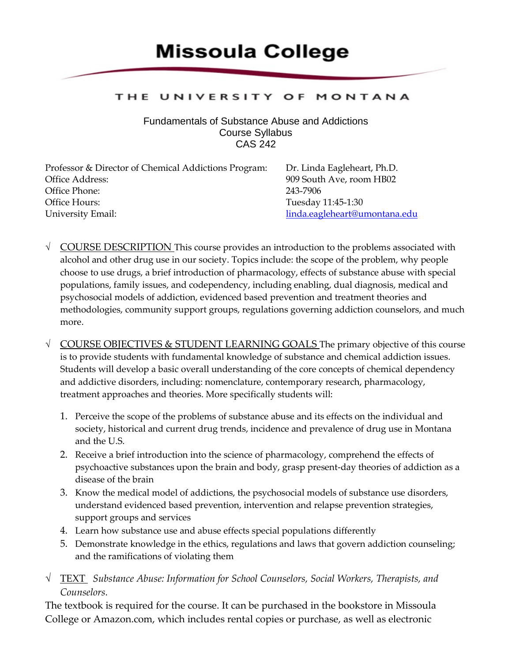# **Missoula College**

#### THE UNIVERSITY OF MONTANA

Fundamentals of Substance Abuse and Addictions Course Syllabus CAS 242

| Professor & Director of Chemical Addictions Program: | Dr. Linda Eagleheart, Ph.D.   |
|------------------------------------------------------|-------------------------------|
| Office Address:                                      | 909 South Ave, room HB02      |
| Office Phone:                                        | 243-7906                      |
| Office Hours:                                        | Tuesday 11:45-1:30            |
| University Email:                                    | linda.eagleheart@umontana.edu |

- $\sqrt{\frac{1}{2}}$  COURSE DESCRIPTION This course provides an introduction to the problems associated with alcohol and other drug use in our society. Topics include: the scope of the problem, why people choose to use drugs, a brief introduction of pharmacology, effects of substance abuse with special populations, family issues, and codependency, including enabling, dual diagnosis, medical and psychosocial models of addiction, evidenced based prevention and treatment theories and methodologies, community support groups, regulations governing addiction counselors, and much more.
- $\sqrt{\frac{1}{2}}$  COURSE OBJECTIVES & STUDENT LEARNING GOALS The primary objective of this course is to provide students with fundamental knowledge of substance and chemical addiction issues. Students will develop a basic overall understanding of the core concepts of chemical dependency and addictive disorders, including: nomenclature, contemporary research, pharmacology, treatment approaches and theories. More specifically students will:
	- 1. Perceive the scope of the problems of substance abuse and its effects on the individual and society, historical and current drug trends, incidence and prevalence of drug use in Montana and the U.S.
	- 2. Receive a brief introduction into the science of pharmacology, comprehend the effects of psychoactive substances upon the brain and body, grasp present-day theories of addiction as a disease of the brain
	- 3. Know the medical model of addictions, the psychosocial models of substance use disorders, understand evidenced based prevention, intervention and relapse prevention strategies, support groups and services
	- 4. Learn how substance use and abuse effects special populations differently
	- 5. Demonstrate knowledge in the ethics, regulations and laws that govern addiction counseling; and the ramifications of violating them
- √ TEXT *Substance Abuse: Information for School Counselors, Social Workers, Therapists, and Counselors.*

The textbook is required for the course. It can be purchased in the bookstore in Missoula College or Amazon.com, which includes rental copies or purchase, as well as electronic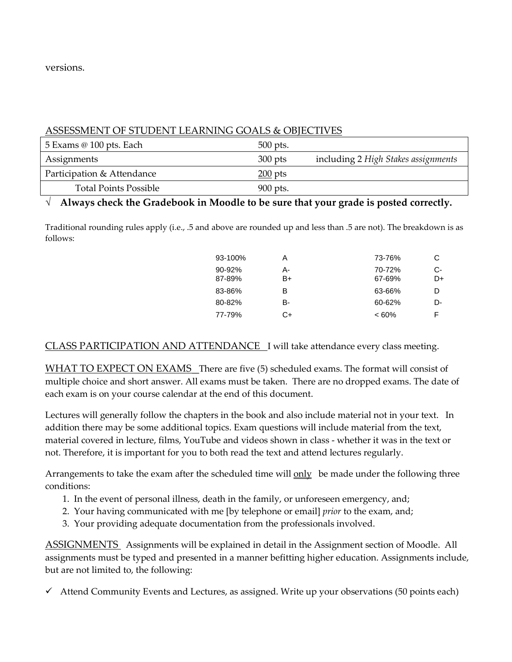versions.

#### ASSESSMENT OF STUDENT LEARNING GOALS & OBJECTIVES

| 5 Exams @ 100 pts. Each      | 500 pts.  |                                     |
|------------------------------|-----------|-------------------------------------|
| Assignments                  | $300$ pts | including 2 High Stakes assignments |
| Participation & Attendance   | $200$ pts |                                     |
| <b>Total Points Possible</b> | 900 pts.  |                                     |

#### √ **Always check the Gradebook in Moodle to be sure that your grade is posted correctly.**

Traditional rounding rules apply (i.e., .5 and above are rounded up and less than .5 are not). The breakdown is as follows:

| 93-100%          | А        | 73-76%           | С        |
|------------------|----------|------------------|----------|
| 90-92%<br>87-89% | А-<br>B+ | 70-72%<br>67-69% | C-<br>D+ |
| 83-86%           | В        | 63-66%           | D        |
| 80-82%           | в-       | 60-62%           | D-       |
| 77-79%           | C+       | $<60\%$          | F        |

#### CLASS PARTICIPATION AND ATTENDANCE I will take attendance every class meeting.

WHAT TO EXPECT ON EXAMS There are five (5) scheduled exams. The format will consist of multiple choice and short answer. All exams must be taken. There are no dropped exams. The date of each exam is on your course calendar at the end of this document.

Lectures will generally follow the chapters in the book and also include material not in your text. In addition there may be some additional topics. Exam questions will include material from the text, material covered in lecture, films, YouTube and videos shown in class - whether it was in the text or not. Therefore, it is important for you to both read the text and attend lectures regularly.

Arrangements to take the exam after the scheduled time will only be made under the following three conditions:

- 1. In the event of personal illness, death in the family, or unforeseen emergency, and;
- 2. Your having communicated with me [by telephone or email] *prior* to the exam, and;
- 3. Your providing adequate documentation from the professionals involved.

ASSIGNMENTS Assignments will be explained in detail in the Assignment section of Moodle. All assignments must be typed and presented in a manner befitting higher education. Assignments include, but are not limited to, the following:

 $\checkmark$  Attend Community Events and Lectures, as assigned. Write up your observations (50 points each)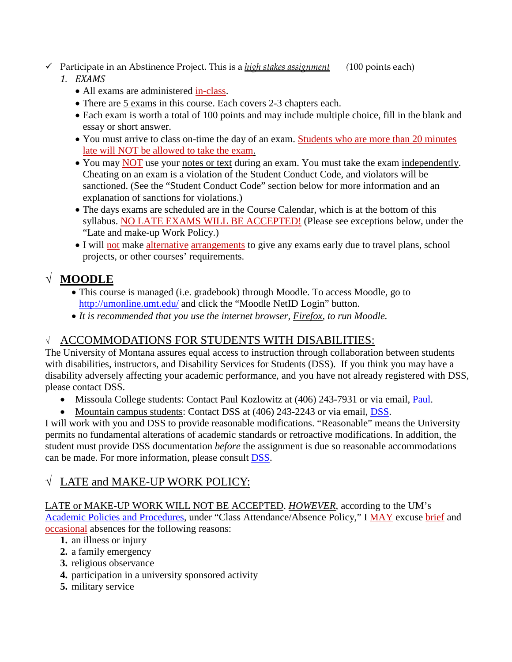### Participate in an Abstinence Project. This is a *high stakes assignment (*100 points each)

### *1. EXAMS*

- All exams are administered in-class.
- There are 5 exams in this course. Each covers 2-3 chapters each.
- Each exam is worth a total of 100 points and may include multiple choice, fill in the blank and essay or short answer.
- You must arrive to class on-time the day of an exam. Students who are more than 20 minutes late will NOT be allowed to take the exam.
- You may NOT use your notes or text during an exam. You must take the exam independently. Cheating on an exam is a violation of the Student Conduct Code, and violators will be sanctioned. (See the "Student Conduct Code" section below for more information and an explanation of sanctions for violations.)
- The days exams are scheduled are in the Course Calendar, which is at the bottom of this syllabus. NO LATE EXAMS WILL BE ACCEPTED! (Please see exceptions below, under the "Late and make-up Work Policy.)
- I will not make alternative arrangements to give any exams early due to travel plans, school projects, or other courses' requirements.

# √ **MOODLE**

- This course is managed (i.e. gradebook) through Moodle. To access Moodle, go to <http://umonline.umt.edu/>and click the "Moodle NetID Login" button.
- *It is recommended that you use the internet browser, Firefox, to run Moodle.*

### √ ACCOMMODATIONS FOR STUDENTS WITH DISABILITIES:

The University of Montana assures equal access to instruction through collaboration between students with disabilities, instructors, and Disability Services for Students (DSS). If you think you may have a disability adversely affecting your academic performance, and you have not already registered with DSS, please contact DSS.

- Missoula College students: Contact Paul Kozlowitz at (406) 243-7931 or via email, [Paul.](mailto:paul.kozlowitz@mso.umt.edu)
- Mountain campus students: Contact DSS at (406) 243-2243 or via email, [DSS.](mailto:dss@umontana.edu)

I will work with you and DSS to provide reasonable modifications. "Reasonable" means the University permits no fundamental alterations of academic standards or retroactive modifications. In addition, the student must provide DSS documentation *before* the assignment is due so reasonable accommodations can be made. For more information, please consult [DSS.](http://www.umt.edu/dss)

## √ LATE and MAKE-UP WORK POLICY:

LATE or MAKE-UP WORK WILL NOT BE ACCEPTED. *HOWEVER*, according to the UM's [Academic Policies and Procedures,](http://www.umt.edu/catalog/academics/academic-policy-procedure.php) under "Class Attendance/Absence Policy," I MAY excuse brief and occasional absences for the following reasons:

- **1.** an illness or injury
- **2.** a family emergency
- **3.** religious observance
- **4.** participation in a university sponsored activity
- **5.** military service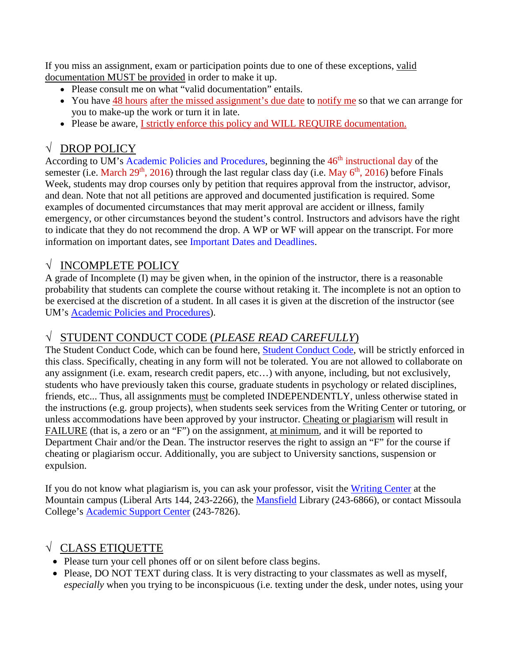If you miss an assignment, exam or participation points due to one of these exceptions, valid documentation MUST be provided in order to make it up.

- Please consult me on what "valid documentation" entails.
- You have 48 hours after the missed assignment's due date to notify me so that we can arrange for you to make-up the work or turn it in late.
- Please be aware, I strictly enforce this policy and WILL REQUIRE documentation.

# √ DROP POLICY

According to UM's [Academic Policies and Procedures,](http://www.umt.edu/catalog/academics/academic-policy-procedure.php) beginning the 46<sup>th</sup> instructional day of the semester (i.e. March 29<sup>th</sup>, 2016) through the last regular class day (i.e. May  $6^{th}$ , 2016) before Finals Week, students may drop courses only by petition that requires approval from the instructor, advisor, and dean. Note that not all petitions are approved and documented justification is required. Some examples of documented circumstances that may merit approval are accident or illness, family emergency, or other circumstances beyond the student's control. Instructors and advisors have the right to indicate that they do not recommend the drop. A WP or WF will appear on the transcript. For more information on important dates, see [Important Dates and Deadlines.](http://www.umt.edu/registrar/PDF/201570ImportantDatesDeadlines.pdf)

### √ INCOMPLETE POLICY

A grade of Incomplete (I) may be given when, in the opinion of the instructor, there is a reasonable probability that students can complete the course without retaking it. The incomplete is not an option to be exercised at the discretion of a student. In all cases it is given at the discretion of the instructor (see UM's [Academic Policies and Procedures\)](http://www.umt.edu/catalog/academics/academic-policy-procedure.php).

### √ STUDENT CONDUCT CODE (*PLEASE READ CAREFULLY*)

The Student Conduct Code, which can be found here, [Student Conduct Code,](http://www.umt.edu/vpsa/policies/student_conduct.php) will be strictly enforced in this class. Specifically, cheating in any form will not be tolerated. You are not allowed to collaborate on any assignment (i.e. exam, research credit papers, etc…) with anyone, including, but not exclusively, students who have previously taken this course, graduate students in psychology or related disciplines, friends, etc... Thus, all assignments must be completed INDEPENDENTLY, unless otherwise stated in the instructions (e.g. group projects), when students seek services from the Writing Center or tutoring, or unless accommodations have been approved by your instructor. Cheating or plagiarism will result in FAILURE (that is, a zero or an "F") on the assignment, at minimum*,* and it will be reported to Department Chair and/or the Dean. The instructor reserves the right to assign an "F" for the course if cheating or plagiarism occur. Additionally, you are subject to University sanctions, suspension or expulsion.

If you do not know what plagiarism is, you can ask your professor, visit the [Writing Center](http://www.umt.edu/writingcenter/) at the Mountain campus (Liberal Arts 144, 243-2266), the [Mansfield](http://libguides.lib.umt.edu/plagiarism) Library (243-6866), or contact Missoula College's [Academic Support Center](http://aasc.mc.umt.edu/student_resources/default.aspx) (243-7826).

## √ CLASS ETIQUETTE

- Please turn your cell phones off or on silent before class begins.
- Please, DO NOT TEXT during class. It is very distracting to your classmates as well as myself, *especially* when you trying to be inconspicuous (i.e. texting under the desk, under notes, using your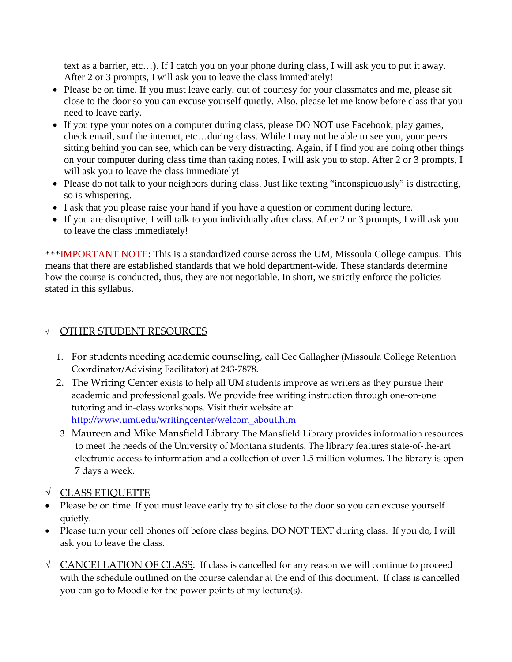text as a barrier, etc…). If I catch you on your phone during class, I will ask you to put it away. After 2 or 3 prompts, I will ask you to leave the class immediately!

- Please be on time. If you must leave early, out of courtesy for your classmates and me, please sit close to the door so you can excuse yourself quietly. Also, please let me know before class that you need to leave early.
- If you type your notes on a computer during class, please DO NOT use Facebook, play games, check email, surf the internet, etc…during class. While I may not be able to see you, your peers sitting behind you can see, which can be very distracting. Again, if I find you are doing other things on your computer during class time than taking notes, I will ask you to stop. After 2 or 3 prompts, I will ask you to leave the class immediately!
- Please do not talk to your neighbors during class. Just like texting "inconspicuously" is distracting, so is whispering.
- I ask that you please raise your hand if you have a question or comment during lecture.
- If you are disruptive, I will talk to you individually after class. After 2 or 3 prompts, I will ask you to leave the class immediately!

\*\*\*IMPORTANT NOTE: This is a standardized course across the UM, Missoula College campus. This means that there are established standards that we hold department-wide. These standards determine how the course is conducted, thus, they are not negotiable. In short, we strictly enforce the policies stated in this syllabus.

### <sup>√</sup> OTHER STUDENT RESOURCES

- 1. For students needing academic counseling, call Cec Gallagher (Missoula College Retention Coordinator/Advising Facilitator) at 243-7878.
- 2. The Writing Center exists to help all UM students improve as writers as they pursue their academic and professional goals. We provide free writing instruction through one-on-one tutoring and in-class workshops. Visit their website at: [http://www.umt.edu/writingcenter/welcom\\_about.htm](http://www.umt.edu/writingcenter/welcom_about.htm)
- 3. Maureen and Mike Mansfield Library The Mansfield Library provides information resources to meet the needs of the University of Montana students. The library features state-of-the-art electronic access to information and a collection of over 1.5 million volumes. The library is open 7 days a week.
- √ CLASS ETIQUETTE
- Please be on time. If you must leave early try to sit close to the door so you can excuse yourself quietly.
- Please turn your cell phones off before class begins. DO NOT TEXT during class. If you do, I will ask you to leave the class.
- √ CANCELLATION OF CLASS: If class is cancelled for any reason we will continue to proceed with the schedule outlined on the course calendar at the end of this document. If class is cancelled you can go to Moodle for the power points of my lecture(s).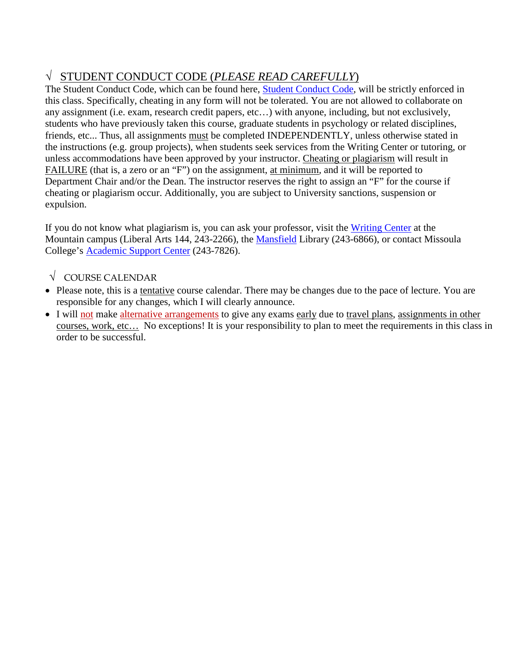# √ STUDENT CONDUCT CODE (*PLEASE READ CAREFULLY*)

The Student Conduct Code, which can be found here, [Student Conduct Code,](http://www.umt.edu/vpsa/policies/student_conduct.php) will be strictly enforced in this class. Specifically, cheating in any form will not be tolerated. You are not allowed to collaborate on any assignment (i.e. exam, research credit papers, etc…) with anyone, including, but not exclusively, students who have previously taken this course, graduate students in psychology or related disciplines, friends, etc... Thus, all assignments must be completed INDEPENDENTLY, unless otherwise stated in the instructions (e.g. group projects), when students seek services from the Writing Center or tutoring, or unless accommodations have been approved by your instructor. Cheating or plagiarism will result in FAILURE (that is, a zero or an "F") on the assignment, at minimum*,* and it will be reported to Department Chair and/or the Dean. The instructor reserves the right to assign an "F" for the course if cheating or plagiarism occur. Additionally, you are subject to University sanctions, suspension or expulsion.

If you do not know what plagiarism is, you can ask your professor, visit the [Writing Center](http://www.umt.edu/writingcenter/) at the Mountain campus (Liberal Arts 144, 243-2266), the [Mansfield](http://libguides.lib.umt.edu/plagiarism) Library (243-6866), or contact Missoula College's [Academic Support Center](http://aasc.mc.umt.edu/student_resources/default.aspx) (243-7826).

### $\sqrt{\phantom{a}}$  COURSE CALENDAR

- Please note, this is a tentative course calendar. There may be changes due to the pace of lecture. You are responsible for any changes, which I will clearly announce.
- I will not make alternative arrangements to give any exams early due to travel plans, assignments in other courses, work, etc… No exceptions! It is your responsibility to plan to meet the requirements in this class in order to be successful.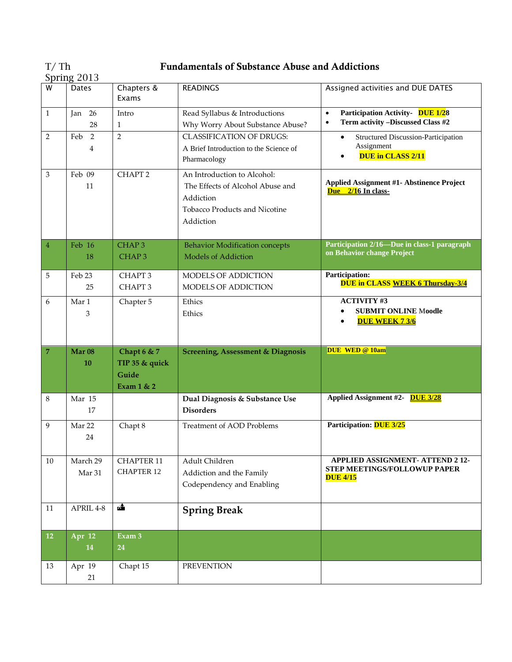| T/Th          | <b>Fundamentals of Substance Abuse and Addictions</b> |
|---------------|-------------------------------------------------------|
| Spring $2013$ |                                                       |

|                | oprmg ⊆oro              |                                                      |                                                                                                                            |                                                                                                 |
|----------------|-------------------------|------------------------------------------------------|----------------------------------------------------------------------------------------------------------------------------|-------------------------------------------------------------------------------------------------|
| W              | <b>Dates</b>            | Chapters &<br>Exams                                  | <b>READINGS</b>                                                                                                            | Assigned activities and DUE DATES                                                               |
| $\mathbf{1}$   | Jan 26<br>28            | Intro<br>1                                           | Read Syllabus & Introductions<br>Why Worry About Substance Abuse?                                                          | Participation Activity- DUE 1/28<br>$\bullet$<br>Term activity -Discussed Class #2<br>$\bullet$ |
| 2              | Feb 2<br>4              | $\overline{2}$                                       | <b>CLASSIFICATION OF DRUGS:</b><br>A Brief Introduction to the Science of<br>Pharmacology                                  | <b>Structured Discussion-Participation</b><br>$\bullet$<br>Assignment<br>DUE in CLASS 2/11      |
| 3              | Feb 09<br>11            | CHAPT <sub>2</sub>                                   | An Introduction to Alcohol:<br>The Effects of Alcohol Abuse and<br>Addiction<br>Tobacco Products and Nicotine<br>Addiction | <b>Applied Assignment #1- Abstinence Project</b><br>Due 2/16 In class-                          |
| $\sqrt{4}$     | Feb 16<br>18            | CHAP <sub>3</sub><br>CHAP <sub>3</sub>               | <b>Behavior Modification concepts</b><br><b>Models of Addiction</b>                                                        | Participation 2/16-Due in class-1 paragraph<br>on Behavior change Project                       |
| 5              | Feb 23<br>25            | CHAPT <sub>3</sub><br>CHAPT <sub>3</sub>             | MODELS OF ADDICTION<br>MODELS OF ADDICTION                                                                                 | <b>Participation:</b><br><b>DUE in CLASS WEEK 6 Thursday-3/4</b>                                |
| 6              | Mar 1<br>3              | Chapter 5                                            | Ethics<br>Ethics                                                                                                           | <b>ACTIVITY #3</b><br><b>SUBMIT ONLINE Moodle</b><br><b>DUE WEEK 7 3/6</b>                      |
|                |                         |                                                      |                                                                                                                            |                                                                                                 |
| $\overline{7}$ | Mar <sub>08</sub><br>10 | Chapt 6 & 7<br>TIP 35 & quick<br>Guide<br>Exam 1 & 2 | <b>Screening, Assessment &amp; Diagnosis</b>                                                                               | DUE WED @ 10am                                                                                  |
| 8              | Mar 15<br>17            |                                                      | Dual Diagnosis & Substance Use<br><b>Disorders</b>                                                                         | Applied Assignment #2- DUE 3/28                                                                 |
| 9              | Mar 22<br>24            | Chapt 8                                              | Treatment of AOD Problems                                                                                                  | Participation: DUE 3/25                                                                         |
| $10\,$         | March 29<br>Mar 31      | <b>CHAPTER 11</b><br><b>CHAPTER 12</b>               | Adult Children<br>Addiction and the Family<br>Codependency and Enabling                                                    | APPLIED ASSIGNMENT- ATTEND 2 12-<br><b>STEP MEETINGS/FOLLOWUP PAPER</b><br><b>DUE 4/15</b>      |
| 11             | APRIL 4-8               | 6                                                    | <b>Spring Break</b>                                                                                                        |                                                                                                 |
| 12             | Apr 12<br>14            | Exam 3<br>24                                         |                                                                                                                            |                                                                                                 |